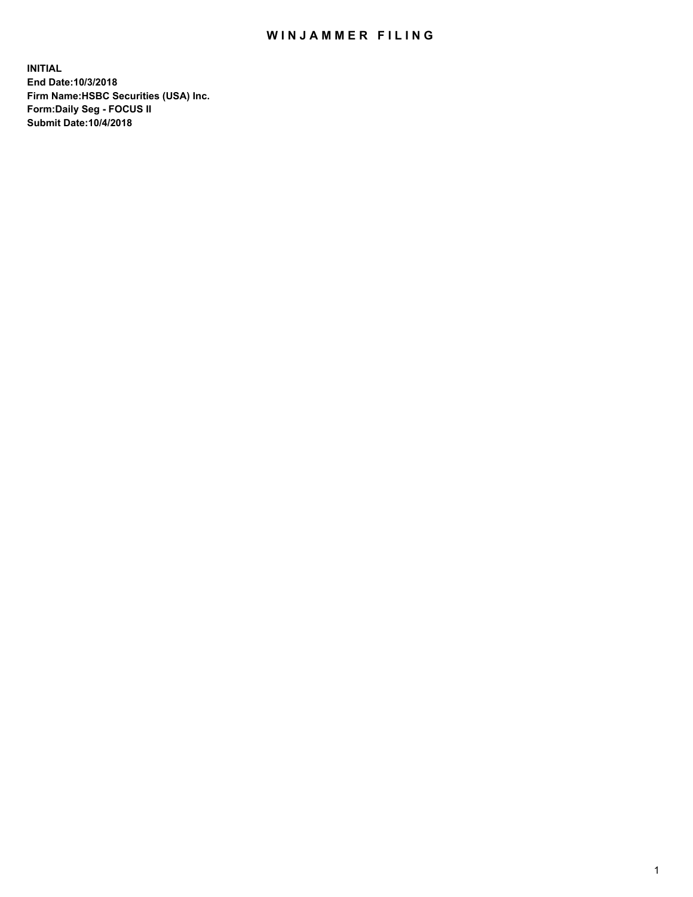## WIN JAMMER FILING

**INITIAL End Date:10/3/2018 Firm Name:HSBC Securities (USA) Inc. Form:Daily Seg - FOCUS II Submit Date:10/4/2018**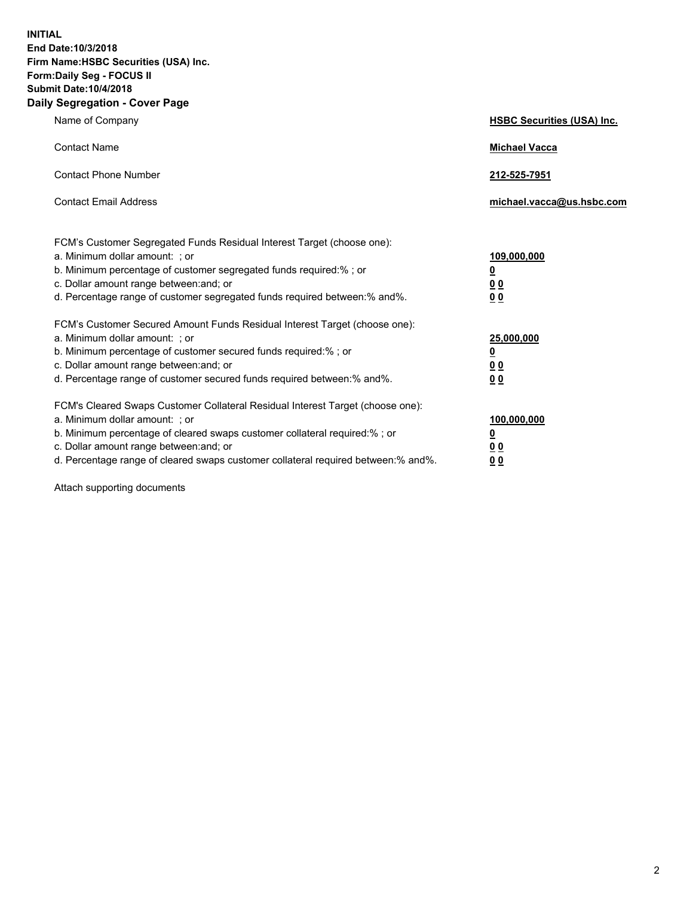**INITIAL End Date:10/3/2018 Firm Name:HSBC Securities (USA) Inc. Form:Daily Seg - FOCUS II Submit Date:10/4/2018 Daily Segregation - Cover Page**

| Name of Company                                                                                                                                                                                                                                                                                                                | <b>HSBC Securities (USA) Inc.</b>                                          |
|--------------------------------------------------------------------------------------------------------------------------------------------------------------------------------------------------------------------------------------------------------------------------------------------------------------------------------|----------------------------------------------------------------------------|
| <b>Contact Name</b>                                                                                                                                                                                                                                                                                                            | <b>Michael Vacca</b>                                                       |
| <b>Contact Phone Number</b>                                                                                                                                                                                                                                                                                                    | 212-525-7951                                                               |
| <b>Contact Email Address</b>                                                                                                                                                                                                                                                                                                   | michael.vacca@us.hsbc.com                                                  |
| FCM's Customer Segregated Funds Residual Interest Target (choose one):<br>a. Minimum dollar amount: : or<br>b. Minimum percentage of customer segregated funds required:% ; or<br>c. Dollar amount range between: and; or<br>d. Percentage range of customer segregated funds required between:% and%.                         | 109,000,000<br>$\overline{\mathbf{0}}$<br>0 <sub>0</sub><br>0 <sub>0</sub> |
| FCM's Customer Secured Amount Funds Residual Interest Target (choose one):<br>a. Minimum dollar amount: ; or<br>b. Minimum percentage of customer secured funds required:%; or<br>c. Dollar amount range between: and; or<br>d. Percentage range of customer secured funds required between:% and%.                            | 25,000,000<br>$\overline{\mathbf{0}}$<br>0 <sub>0</sub><br>0 <sub>0</sub>  |
| FCM's Cleared Swaps Customer Collateral Residual Interest Target (choose one):<br>a. Minimum dollar amount: ; or<br>b. Minimum percentage of cleared swaps customer collateral required:% ; or<br>c. Dollar amount range between: and; or<br>d. Percentage range of cleared swaps customer collateral required between:% and%. | 100,000,000<br>$\overline{\mathbf{0}}$<br>0 <sub>0</sub><br>0 <sub>0</sub> |

Attach supporting documents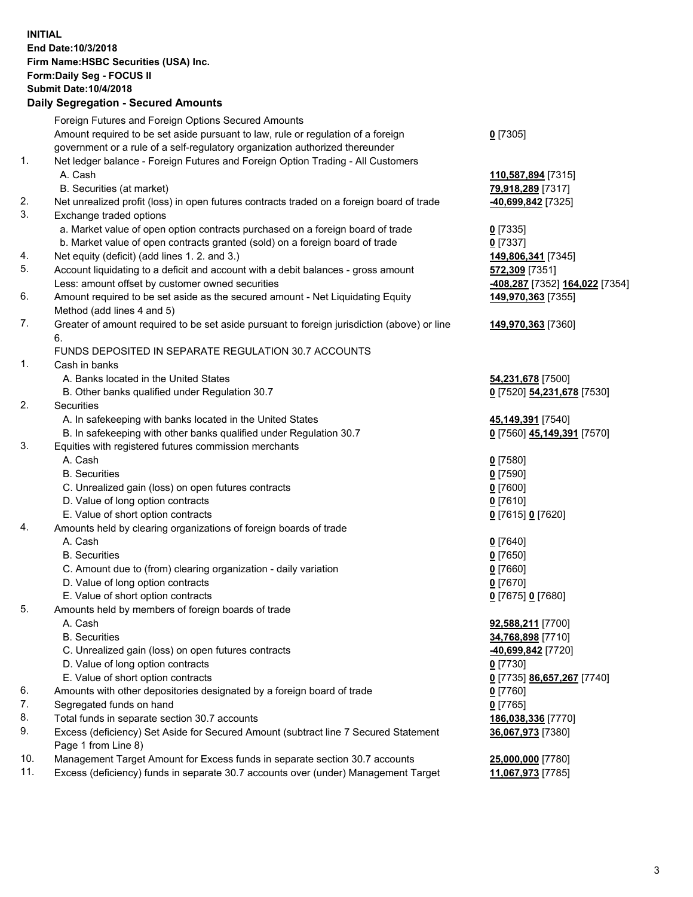**INITIAL End Date:10/3/2018 Firm Name:HSBC Securities (USA) Inc. Form:Daily Seg - FOCUS II Submit Date:10/4/2018 Daily Segregation - Secured Amounts**

Foreign Futures and Foreign Options Secured Amounts Amount required to be set aside pursuant to law, rule or regulation of a foreign government or a rule of a self-regulatory organization authorized thereunder **0** [7305] 1. Net ledger balance - Foreign Futures and Foreign Option Trading - All Customers A. Cash **110,587,894** [7315] B. Securities (at market) **79,918,289** [7317] 2. Net unrealized profit (loss) in open futures contracts traded on a foreign board of trade **-40,699,842** [7325] 3. Exchange traded options a. Market value of open option contracts purchased on a foreign board of trade **0** [7335] b. Market value of open contracts granted (sold) on a foreign board of trade **0** [7337] 4. Net equity (deficit) (add lines 1. 2. and 3.) **149,806,341** [7345] 5. Account liquidating to a deficit and account with a debit balances - gross amount **572,309** [7351] Less: amount offset by customer owned securities **-408,287** [7352] **164,022** [7354] 6. Amount required to be set aside as the secured amount - Net Liquidating Equity Method (add lines 4 and 5) **149,970,363** [7355] 7. Greater of amount required to be set aside pursuant to foreign jurisdiction (above) or line 6. **149,970,363** [7360] FUNDS DEPOSITED IN SEPARATE REGULATION 30.7 ACCOUNTS 1. Cash in banks A. Banks located in the United States **54,231,678** [7500] B. Other banks qualified under Regulation 30.7 **0** [7520] **54,231,678** [7530] 2. Securities A. In safekeeping with banks located in the United States **45,149,391** [7540] B. In safekeeping with other banks qualified under Regulation 30.7 **0** [7560] **45,149,391** [7570] 3. Equities with registered futures commission merchants A. Cash **0** [7580] B. Securities **0** [7590] C. Unrealized gain (loss) on open futures contracts **0** [7600] D. Value of long option contracts **0** [7610] E. Value of short option contracts **0** [7615] **0** [7620] 4. Amounts held by clearing organizations of foreign boards of trade A. Cash **0** [7640] B. Securities **0** [7650] C. Amount due to (from) clearing organization - daily variation **0** [7660] D. Value of long option contracts **0** [7670] E. Value of short option contracts **0** [7675] **0** [7680] 5. Amounts held by members of foreign boards of trade A. Cash **92,588,211** [7700] B. Securities **34,768,898** [7710] C. Unrealized gain (loss) on open futures contracts **-40,699,842** [7720] D. Value of long option contracts **0** [7730] E. Value of short option contracts **0** [7735] **86,657,267** [7740] 6. Amounts with other depositories designated by a foreign board of trade **0** [7760] 7. Segregated funds on hand **0** [7765] 8. Total funds in separate section 30.7 accounts **186,038,336** [7770] 9. Excess (deficiency) Set Aside for Secured Amount (subtract line 7 Secured Statement Page 1 from Line 8) **36,067,973** [7380] 10. Management Target Amount for Excess funds in separate section 30.7 accounts **25,000,000** [7780] 11. Excess (deficiency) funds in separate 30.7 accounts over (under) Management Target **11,067,973** [7785]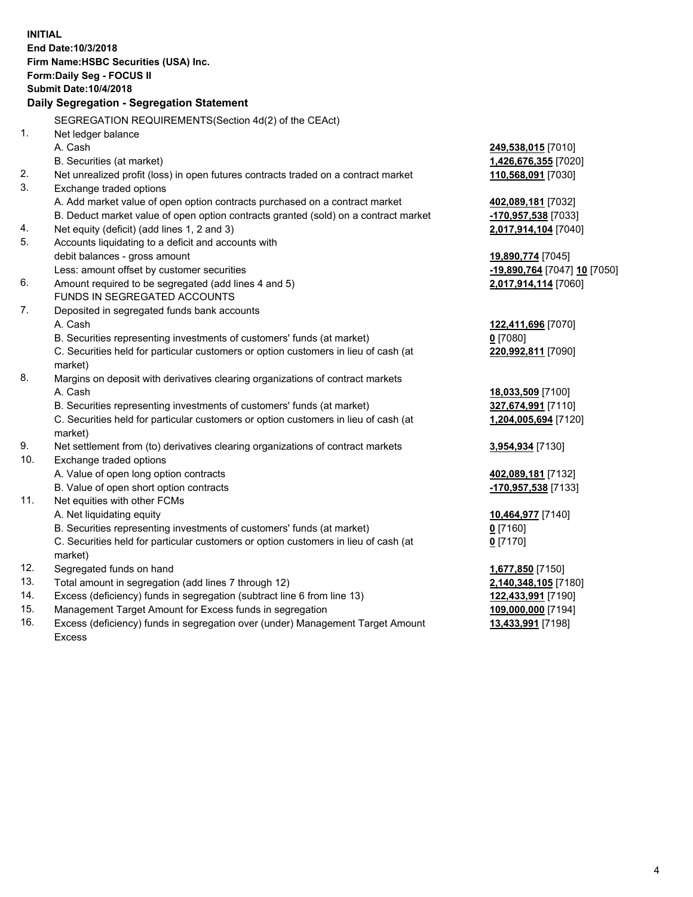|            | <b>INITIAL</b>                                                                                                                                                |                                                   |
|------------|---------------------------------------------------------------------------------------------------------------------------------------------------------------|---------------------------------------------------|
|            | End Date: 10/3/2018                                                                                                                                           |                                                   |
|            | Firm Name: HSBC Securities (USA) Inc.                                                                                                                         |                                                   |
|            | <b>Form:Daily Seg - FOCUS II</b>                                                                                                                              |                                                   |
|            | <b>Submit Date: 10/4/2018</b>                                                                                                                                 |                                                   |
|            | Daily Segregation - Segregation Statement                                                                                                                     |                                                   |
|            | SEGREGATION REQUIREMENTS(Section 4d(2) of the CEAct)                                                                                                          |                                                   |
| 1.         | Net ledger balance                                                                                                                                            |                                                   |
|            | A. Cash                                                                                                                                                       | 249,538,015 [7010]                                |
|            | B. Securities (at market)                                                                                                                                     | 1,426,676,355 [7020]                              |
| 2.         | Net unrealized profit (loss) in open futures contracts traded on a contract market                                                                            | 110,568,091 [7030]                                |
| 3.         | Exchange traded options                                                                                                                                       |                                                   |
|            | A. Add market value of open option contracts purchased on a contract market                                                                                   | 402,089,181 [7032]                                |
|            | B. Deduct market value of open option contracts granted (sold) on a contract market                                                                           | -170,957,538 [7033]                               |
| 4.         | Net equity (deficit) (add lines 1, 2 and 3)                                                                                                                   | 2,017,914,104 [7040]                              |
| 5.         |                                                                                                                                                               |                                                   |
|            | Accounts liquidating to a deficit and accounts with                                                                                                           |                                                   |
|            | debit balances - gross amount<br>Less: amount offset by customer securities                                                                                   | 19,890,774 [7045]<br>-19,890,764 [7047] 10 [7050] |
| 6.         | Amount required to be segregated (add lines 4 and 5)                                                                                                          | 2,017,914,114 [7060]                              |
|            | FUNDS IN SEGREGATED ACCOUNTS                                                                                                                                  |                                                   |
| 7.         |                                                                                                                                                               |                                                   |
|            | Deposited in segregated funds bank accounts<br>A. Cash                                                                                                        | 122,411,696 [7070]                                |
|            |                                                                                                                                                               | $0$ [7080]                                        |
|            | B. Securities representing investments of customers' funds (at market)<br>C. Securities held for particular customers or option customers in lieu of cash (at | 220,992,811 [7090]                                |
|            | market)                                                                                                                                                       |                                                   |
| 8.         | Margins on deposit with derivatives clearing organizations of contract markets                                                                                |                                                   |
|            | A. Cash                                                                                                                                                       |                                                   |
|            | B. Securities representing investments of customers' funds (at market)                                                                                        | 18,033,509 [7100]                                 |
|            | C. Securities held for particular customers or option customers in lieu of cash (at                                                                           | 327,674,991 [7110]                                |
|            |                                                                                                                                                               | 1,204,005,694 [7120]                              |
| 9.         | market)                                                                                                                                                       |                                                   |
| 10.        | Net settlement from (to) derivatives clearing organizations of contract markets<br>Exchange traded options                                                    | <u>3,954,934</u> [7130]                           |
|            |                                                                                                                                                               |                                                   |
|            | A. Value of open long option contracts                                                                                                                        | 402,089,181 [7132]                                |
| 11.        | B. Value of open short option contracts                                                                                                                       | -170,957,538 [7133]                               |
|            | Net equities with other FCMs                                                                                                                                  |                                                   |
|            | A. Net liquidating equity                                                                                                                                     | <u>10,464,977</u> [7140]                          |
|            | B. Securities representing investments of customers' funds (at market)                                                                                        | 0 <sup>[7160]</sup>                               |
|            | C. Securities held for particular customers or option customers in lieu of cash (at                                                                           | $0$ [7170]                                        |
|            | market)                                                                                                                                                       |                                                   |
| 12.        | Segregated funds on hand                                                                                                                                      | <u>1,677,850</u> [7150]                           |
| 13.<br>14. | Total amount in segregation (add lines 7 through 12)                                                                                                          | 2,140,348,105 [7180]                              |
| 15.        | Excess (deficiency) funds in segregation (subtract line 6 from line 13)                                                                                       | 122,433,991 [7190]                                |
|            | Management Target Amount for Excess funds in segregation                                                                                                      | 109,000,000 [7194]                                |

16. Excess (deficiency) funds in segregation over (under) Management Target Amount Excess

**13,433,991** [7198]